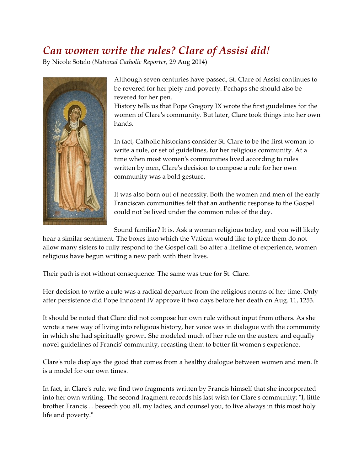## *Can women write the rules? Clare of Assisi did!*

By Nicole Sotelo *(National Catholic Reporter,* 29 Aug 2014)



Although seven centuries have passed, St. Clare of Assisi continues to be revered for her piety and poverty. Perhaps she should also be revered for her pen.

History tells us that Pope Gregory IX wrote the first guidelines for the women of Clare's community. But later, Clare took things into her own hands.

In fact, Catholic historians consider St. Clare to be the first woman to write a rule, or set of guidelines, for her religious community. At a time when most women's communities lived according to rules written by men, Clare's decision to compose a rule for her own community was a bold gesture.

It was also born out of necessity. Both the women and men of the early Franciscan communities felt that an authentic response to the Gospel could not be lived under the common rules of the day.

Sound familiar? It is. Ask a woman religious today, and you will likely

hear a similar sentiment. The boxes into which the Vatican would like to place them do not allow many sisters to fully respond to the Gospel call. So after a lifetime of experience, women religious have begun writing a new path with their lives.

Their path is not without consequence. The same was true for St. Clare.

Her decision to write a rule was a radical departure from the religious norms of her time. Only after persistence did Pope Innocent IV approve it two days before her death on Aug. 11, 1253.

It should be noted that Clare did not compose her own rule without input from others. As she wrote a new way of living into religious history, her voice was in dialogue with the community in which she had spiritually grown. She modeled much of her rule on the austere and equally novel guidelines of Francis' community, recasting them to better fit women's experience.

Clare's rule displays the good that comes from a healthy dialogue between women and men. It is a model for our own times.

In fact, in Clare's rule, we find two fragments written by Francis himself that she incorporated into her own writing. The second fragment records his last wish for Clare's community: "I, little brother Francis ... beseech you all, my ladies, and counsel you, to live always in this most holy life and poverty."